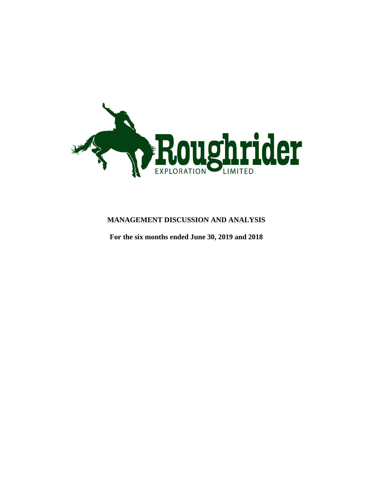

# **MANAGEMENT DISCUSSION AND ANALYSIS**

**For the six months ended June 30, 2019 and 2018**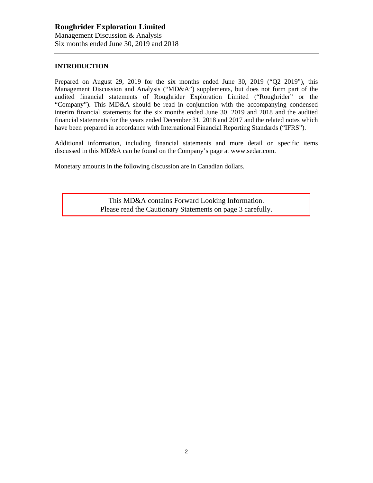### **INTRODUCTION**

Prepared on August 29, 2019 for the six months ended June 30, 2019 ("Q2 2019"), this Management Discussion and Analysis ("MD&A") supplements, but does not form part of the audited financial statements of Roughrider Exploration Limited ("Roughrider" or the "Company"). This MD&A should be read in conjunction with the accompanying condensed interim financial statements for the six months ended June 30, 2019 and 2018 and the audited financial statements for the years ended December 31, 2018 and 2017 and the related notes which have been prepared in accordance with International Financial Reporting Standards ("IFRS").

Additional information, including financial statements and more detail on specific items discussed in this MD&A can be found on the Company's page at www.sedar.com.

Monetary amounts in the following discussion are in Canadian dollars.

This MD&A contains Forward Looking Information. Please read the Cautionary Statements on page 3 carefully.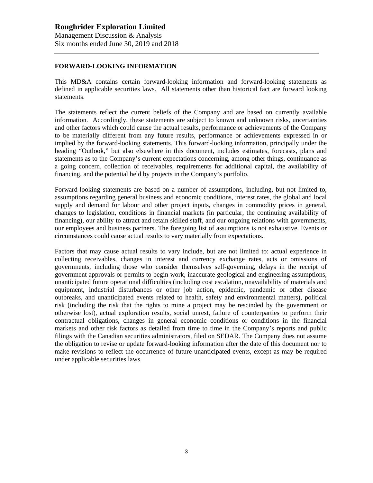### **FORWARD-LOOKING INFORMATION**

This MD&A contains certain forward-looking information and forward-looking statements as defined in applicable securities laws. All statements other than historical fact are forward looking statements.

The statements reflect the current beliefs of the Company and are based on currently available information. Accordingly, these statements are subject to known and unknown risks, uncertainties and other factors which could cause the actual results, performance or achievements of the Company to be materially different from any future results, performance or achievements expressed in or implied by the forward-looking statements. This forward-looking information, principally under the heading "Outlook," but also elsewhere in this document, includes estimates, forecasts, plans and statements as to the Company's current expectations concerning, among other things, continuance as a going concern, collection of receivables, requirements for additional capital, the availability of financing, and the potential held by projects in the Company's portfolio.

Forward-looking statements are based on a number of assumptions, including, but not limited to, assumptions regarding general business and economic conditions, interest rates, the global and local supply and demand for labour and other project inputs, changes in commodity prices in general, changes to legislation, conditions in financial markets (in particular, the continuing availability of financing), our ability to attract and retain skilled staff, and our ongoing relations with governments, our employees and business partners. The foregoing list of assumptions is not exhaustive. Events or circumstances could cause actual results to vary materially from expectations.

Factors that may cause actual results to vary include, but are not limited to: actual experience in collecting receivables, changes in interest and currency exchange rates, acts or omissions of governments, including those who consider themselves self-governing, delays in the receipt of government approvals or permits to begin work, inaccurate geological and engineering assumptions, unanticipated future operational difficulties (including cost escalation, unavailability of materials and equipment, industrial disturbances or other job action, epidemic, pandemic or other disease outbreaks, and unanticipated events related to health, safety and environmental matters), political risk (including the risk that the rights to mine a project may be rescinded by the government or otherwise lost), actual exploration results, social unrest, failure of counterparties to perform their contractual obligations, changes in general economic conditions or conditions in the financial markets and other risk factors as detailed from time to time in the Company's reports and public filings with the Canadian securities administrators, filed on SEDAR. The Company does not assume the obligation to revise or update forward-looking information after the date of this document nor to make revisions to reflect the occurrence of future unanticipated events, except as may be required under applicable securities laws.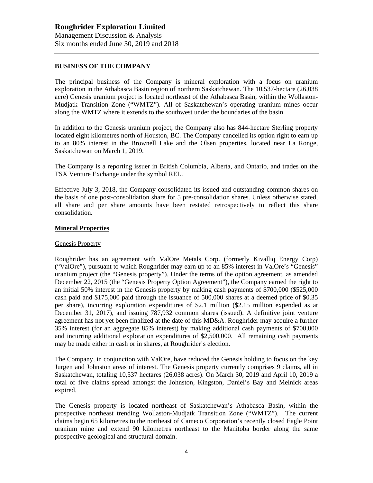#### **BUSINESS OF THE COMPANY**

The principal business of the Company is mineral exploration with a focus on uranium exploration in the Athabasca Basin region of northern Saskatchewan. The 10,537-hectare (26,038 acre) Genesis uranium project is located northeast of the Athabasca Basin, within the Wollaston-Mudjatk Transition Zone ("WMTZ"). All of Saskatchewan's operating uranium mines occur along the WMTZ where it extends to the southwest under the boundaries of the basin.

In addition to the Genesis uranium project, the Company also has 844-hectare Sterling property located eight kilometres north of Houston, BC. The Company cancelled its option right to earn up to an 80% interest in the Brownell Lake and the Olsen properties, located near La Ronge, Saskatchewan on March 1, 2019.

The Company is a reporting issuer in British Columbia, Alberta, and Ontario, and trades on the TSX Venture Exchange under the symbol REL.

Effective July 3, 2018, the Company consolidated its issued and outstanding common shares on the basis of one post-consolidation share for 5 pre-consolidation shares. Unless otherwise stated, all share and per share amounts have been restated retrospectively to reflect this share consolidation.

#### **Mineral Properties**

#### Genesis Property

Roughrider has an agreement with ValOre Metals Corp. (formerly Kivalliq Energy Corp) ("ValOre"), pursuant to which Roughrider may earn up to an 85% interest in ValOre's "Genesis" uranium project (the "Genesis property"). Under the terms of the option agreement, as amended December 22, 2015 (the "Genesis Property Option Agreement"), the Company earned the right to an initial 50% interest in the Genesis property by making cash payments of \$700,000 (\$525,000 cash paid and \$175,000 paid through the issuance of 500,000 shares at a deemed price of \$0.35 per share), incurring exploration expenditures of \$2.1 million (\$2.15 million expended as at December 31, 2017), and issuing 787,932 common shares (issued). A definitive joint venture agreement has not yet been finalized at the date of this MD&A. Roughrider may acquire a further 35% interest (for an aggregate 85% interest) by making additional cash payments of \$700,000 and incurring additional exploration expenditures of \$2,500,000. All remaining cash payments may be made either in cash or in shares, at Roughrider's election.

The Company, in conjunction with ValOre, have reduced the Genesis holding to focus on the key Jurgen and Johnston areas of interest. The Genesis property currently comprises 9 claims, all in Saskatchewan, totaling 10,537 hectares (26,038 acres). On March 30, 2019 and April 10, 2019 a total of five claims spread amongst the Johnston, Kingston, Daniel's Bay and Melnick areas expired.

The Genesis property is located northeast of Saskatchewan's Athabasca Basin, within the prospective northeast trending Wollaston-Mudjatk Transition Zone ("WMTZ"). The current claims begin 65 kilometres to the northeast of Cameco Corporation's recently closed Eagle Point uranium mine and extend 90 kilometres northeast to the Manitoba border along the same prospective geological and structural domain.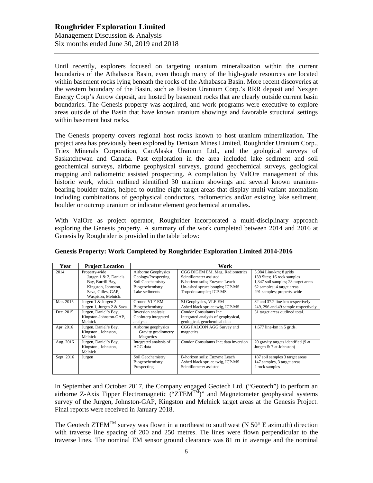Until recently, explorers focused on targeting uranium mineralization within the current boundaries of the Athabasca Basin, even though many of the high-grade resources are located within basement rocks lying beneath the rocks of the Athabasca Basin. More recent discoveries at the western boundary of the Basin, such as Fission Uranium Corp.'s RRR deposit and Nexgen Energy Corp's Arrow deposit, are hosted by basement rocks that are clearly outside current basin boundaries. The Genesis property was acquired, and work programs were executive to explore areas outside of the Basin that have known uranium showings and favorable structural settings within basement host rocks.

The Genesis property covers regional host rocks known to host uranium mineralization. The project area has previously been explored by Denison Mines Limited, Roughrider Uranium Corp., Triex Minerals Corporation, CanAlaska Uranium Ltd., and the geological surveys of Saskatchewan and Canada. Past exploration in the area included lake sediment and soil geochemical surveys, airborne geophysical surveys, ground geochemical surveys, geological mapping and radiometric assisted prospecting. A compilation by ValOre management of this historic work, which outlined identified 30 uranium showings and several known uraniumbearing boulder trains, helped to outline eight target areas that display multi-variant anomalism including combinations of geophysical conductors, radiometrics and/or existing lake sediment, boulder or outcrop uranium or indicator element geochemical anomalies.

With ValOre as project operator, Roughrider incorporated a multi-disciplinary approach exploring the Genesis property. A summary of the work completed between 2014 and 2016 at Genesis by Roughrider is provided in the table below:

| Year       | <b>Project Location</b>                                                                                                        | Work                                                                                                 |                                                                                                                                                          |                                                                                                                                                           |  |
|------------|--------------------------------------------------------------------------------------------------------------------------------|------------------------------------------------------------------------------------------------------|----------------------------------------------------------------------------------------------------------------------------------------------------------|-----------------------------------------------------------------------------------------------------------------------------------------------------------|--|
| 2014       | Property-wide<br>Jurgen 1 & 2, Daniels<br>Bay, Burrill Bay,<br>Kingston, Johnston,<br>Sava, Gilles, GAP,<br>Waspison, Melnick. | Airborne Geophysics<br>Geology/Prospecting<br>Soil Geochemistry<br>Biogeochemistry<br>Lake sediments | CGG DIGEM EM, Mag, Radiometrics<br>Scintillometer assisted<br>B-horizon soils; Enzyme Leach<br>Un-ashed spruce boughs; ICP-MS<br>Torpedo sampler; ICP-MS | $5,984$ Line-km; 8 grids<br>139 Sites; 16 rock samples<br>1,347 soil samples; 28 target areas<br>62 samples; 4 target areas<br>291 samples; property-wide |  |
| Mar. 2015  | Jurgen 1 & Jurgen 2<br>Jurgen 1, Jurgen 2 & Sava                                                                               | Ground VLF-EM<br>Biogeochemistry                                                                     | SJ Geophysics, VLF-EM<br>Ashed black spruce twig, ICP-MS                                                                                                 | 32 and 37.2 line-km respectively<br>249, 296 and 49 sample respectively                                                                                   |  |
| Dec. 2015  | Jurgen, Daniel's Bay,<br>Kingston-Johnston-GAP,<br>Melnick                                                                     | Inversion analysis;<br>GeoInterp integrated<br>analysis                                              | Condor Consultants Inc.<br>Integrated analysis of geophysical,<br>geological, geochemical data                                                           | 31 target areas outlined total.                                                                                                                           |  |
| Apr. 2016  | Jurgen, Daniel's Bay,<br>Kingston., Johnston,<br>Melnick                                                                       | Airborne geophysics<br>Gravity gradiometry<br>Magnetics                                              | CGG FALCON AGG Survey and<br>magnetics                                                                                                                   | $1,677$ line-km in 5 grids.                                                                                                                               |  |
| Aug. 2016  | Jurgen, Daniel's Bay,<br>Kingston., Johnston,<br>Melnick                                                                       | Integrated analysis of<br>AGG data                                                                   | Condor Consultants Inc; data inversion                                                                                                                   | 20 gravity targets identified (9 at<br>Jurgen $& 7$ at Johnston)                                                                                          |  |
| Sept. 2016 | Jurgen                                                                                                                         | Soil Geochemistry<br>Biogeochemistry<br>Prospecting                                                  | B-horizon soils; Enzyme Leach<br>Ashed black spruce twig, ICP-MS<br>Scintillometer assisted                                                              | 187 soil samples 3 target areas<br>147 samples, 3 target areas<br>2 rock samples                                                                          |  |

# **Genesis Property: Work Completed by Roughrider Exploration Limited 2014-2016**

In September and October 2017, the Company engaged Geotech Ltd. ("Geotech") to perform an airborne Z-Axis Tipper Electromagnetic (" $ZTEM^{TM}$ " and Magnetometer geophysical systems survey of the Jurgen, Johnston-GAP, Kingston and Melnick target areas at the Genesis Project. Final reports were received in January 2018.

The Geotech ZTEM<sup>TM</sup> survey was flown in a northeast to southwest (N 50 $\degree$  E azimuth) direction with traverse line spacing of 200 and 250 metres. Tie lines were flown perpendicular to the traverse lines. The nominal EM sensor ground clearance was 81 m in average and the nominal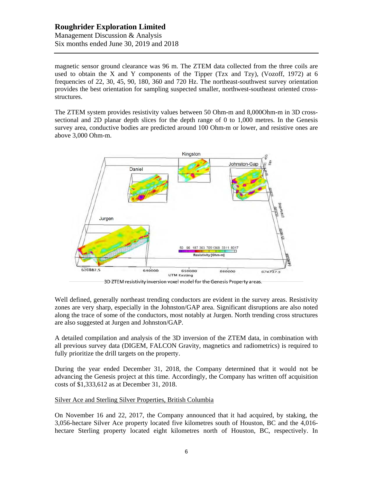# **Roughrider Exploration Limited** Management Discussion & Analysis Six months ended June 30, 2019 and 2018

magnetic sensor ground clearance was 96 m. The ZTEM data collected from the three coils are used to obtain the X and Y components of the Tipper (Tzx and Tzy), (Vozoff, 1972) at 6 frequencies of 22, 30, 45, 90, 180, 360 and 720 Hz. The northeast-southwest survey orientation provides the best orientation for sampling suspected smaller, northwest-southeast oriented crossstructures.

The ZTEM system provides resistivity values between 50 Ohm-m and 8,000Ohm-m in 3D crosssectional and 2D planar depth slices for the depth range of 0 to 1,000 metres. In the Genesis survey area, conductive bodies are predicted around 100 Ohm-m or lower, and resistive ones are above 3,000 Ohm-m.



3D ZTEM resistivity inversion voxel model for the Genesis Property areas.

Well defined, generally northeast trending conductors are evident in the survey areas. Resistivity zones are very sharp, especially in the Johnston/GAP area. Significant disruptions are also noted along the trace of some of the conductors, most notably at Jurgen. North trending cross structures are also suggested at Jurgen and Johnston/GAP.

A detailed compilation and analysis of the 3D inversion of the ZTEM data, in combination with all previous survey data (DIGEM, FALCON Gravity, magnetics and radiometrics) is required to fully prioritize the drill targets on the property.

During the year ended December 31, 2018, the Company determined that it would not be advancing the Genesis project at this time. Accordingly, the Company has written off acquisition costs of \$1,333,612 as at December 31, 2018.

### Silver Ace and Sterling Silver Properties, British Columbia

On November 16 and 22, 2017, the Company announced that it had acquired, by staking, the 3,056-hectare Silver Ace property located five kilometres south of Houston, BC and the 4,016 hectare Sterling property located eight kilometres north of Houston, BC, respectively. In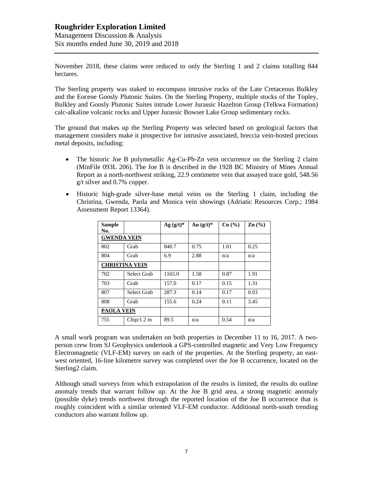# **Roughrider Exploration Limited** Management Discussion & Analysis Six months ended June 30, 2019 and 2018

November 2018, these claims were reduced to only the Sterling 1 and 2 claims totalling 844 hectares.

The Sterling property was staked to encompass intrusive rocks of the Late Cretaceous Bulkley and the Eocene Goosly Plutonic Suites. On the Sterling Property, multiple stocks of the Topley, Bulkley and Goosly Plutonic Suites intrude Lower Jurassic Hazelton Group (Telkwa Formation) calc-alkaline volcanic rocks and Upper Jurassic Bowser Lake Group sedimentary rocks.

The ground that makes up the Sterling Property was selected based on geological factors that management considers make it prospective for intrusive associated, breccia vein-hosted precious metal deposits, including:

- The historic Joe B polymetallic Ag-Cu-Pb-Zn vein occurrence on the Sterling 2 claim (MinFile 093L 206). The Joe B is described in the 1928 BC Ministry of Mines Annual Report as a north-northwest striking, 22.9 centimetre vein that assayed trace gold, 548.56 g/t silver and 0.7% copper.
- Historic high-grade silver-base metal veins on the Sterling 1 claim, including the Christina, Gwenda, Paola and Monica vein showings (Adriatic Resources Corp.; 1984 Assessment Report 13364).

| <b>Sample</b><br>No. |                       | $Ag (g/t)^*$ | Au $(g/t)^*$ | Cu (%) | $\mathbf{Zn}$ (%) |
|----------------------|-----------------------|--------------|--------------|--------|-------------------|
| <b>GWENDA VEIN</b>   |                       |              |              |        |                   |
| 802                  | Grab                  | 840.7        | 0.75         | 1.01   | 0.25              |
| 804                  | Grab                  | 6.9          | 2.88         | n/a    | n/a               |
|                      | <b>CHRISTINA VEIN</b> |              |              |        |                   |
| 702                  | Select Grab           | 1165.0       | 1.58         | 0.87   | 1.91              |
| 703                  | Grab                  | 157.0        | 0.17         | 0.15   | 1.31              |
| 807                  | Select Grab           | 287.3        | 0.14         | 0.17   | 0.93              |
| 808                  | Grab                  | 155.6        | 0.24         | 0.11   | 3.45              |
| <b>PAOLA VEIN</b>    |                       |              |              |        |                   |
| 755                  | Chip/1.2 m            | 89.5         | n/a          | 0.54   | n/a               |

A small work program was undertaken on both properties in December 11 to 16, 2017. A twoperson crew from SJ Geophysics undertook a GPS-controlled magnetic and Very Low Frequency Electromagnetic (VLF-EM) survey on each of the properties. At the Sterling property, an eastwest oriented, 16-line kilometre survey was completed over the Joe B occurrence, located on the Sterling2 claim.

Although small surveys from which extrapolation of the results is limited, the results do outline anomaly trends that warrant follow up. At the Joe B grid area, a strong magnetic anomaly (possible dyke) trends northwest through the reported location of the Joe B occurrence that is roughly coincident with a similar oriented VLF-EM conductor. Additional north-south trending conductors also warrant follow up.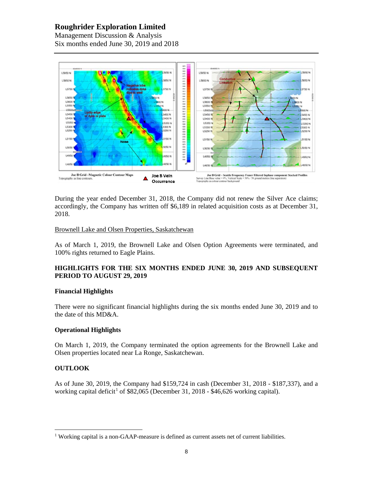# **Roughrider Exploration Limited**

Management Discussion & Analysis Six months ended June 30, 2019 and 2018



During the year ended December 31, 2018, the Company did not renew the Silver Ace claims; accordingly, the Company has written off \$6,189 in related acquisition costs as at December 31, 2018.

### Brownell Lake and Olsen Properties, Saskatchewan

As of March 1, 2019, the Brownell Lake and Olsen Option Agreements were terminated, and 100% rights returned to Eagle Plains.

# **HIGHLIGHTS FOR THE SIX MONTHS ENDED JUNE 30, 2019 AND SUBSEQUENT PERIOD TO AUGUST 29, 2019**

### **Financial Highlights**

There were no significant financial highlights during the six months ended June 30, 2019 and to the date of this MD&A.

# **Operational Highlights**

On March 1, 2019, the Company terminated the option agreements for the Brownell Lake and Olsen properties located near La Ronge, Saskatchewan.

# **OUTLOOK**

As of June 30, 2019, the Company had \$159,724 in cash (December 31, 2018 - \$187,337), and a working capital deficit<sup>1</sup> of \$82,065 (December 31, 2018 - \$46,626 working capital).

<sup>&</sup>lt;sup>1</sup> Working capital is a non-GAAP-measure is defined as current assets net of current liabilities.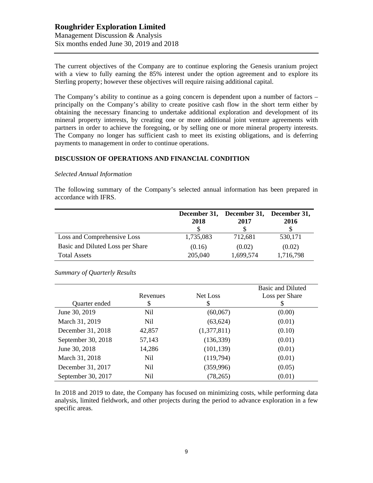# **Roughrider Exploration Limited** Management Discussion & Analysis Six months ended June 30, 2019 and 2018

The current objectives of the Company are to continue exploring the Genesis uranium project with a view to fully earning the 85% interest under the option agreement and to explore its Sterling property; however these objectives will require raising additional capital.

The Company's ability to continue as a going concern is dependent upon a number of factors – principally on the Company's ability to create positive cash flow in the short term either by obtaining the necessary financing to undertake additional exploration and development of its mineral property interests, by creating one or more additional joint venture agreements with partners in order to achieve the foregoing, or by selling one or more mineral property interests. The Company no longer has sufficient cash to meet its existing obligations, and is deferring payments to management in order to continue operations.

### **DISCUSSION OF OPERATIONS AND FINANCIAL CONDITION**

#### *Selected Annual Information*

The following summary of the Company's selected annual information has been prepared in accordance with IFRS.

|                                  | 2018      | December 31, December 31, December 31,<br>2017 | 2016      |
|----------------------------------|-----------|------------------------------------------------|-----------|
| Loss and Comprehensive Loss      | 1,735,083 | 712,681                                        | 530,171   |
| Basic and Diluted Loss per Share | (0.16)    | (0.02)                                         | (0.02)    |
| <b>Total Assets</b>              | 205,040   | 1,699,574                                      | 1,716,798 |

*Summary of Quarterly Results*

|                    | Revenues | Net Loss    | <b>Basic and Diluted</b><br>Loss per Share |
|--------------------|----------|-------------|--------------------------------------------|
| Quarter ended      | \$       | S           |                                            |
| June 30, 2019      | Nil      | (60,067)    | (0.00)                                     |
| March 31, 2019     | Nil      | (63, 624)   | (0.01)                                     |
| December 31, 2018  | 42,857   | (1,377,811) | (0.10)                                     |
| September 30, 2018 | 57,143   | (136, 339)  | (0.01)                                     |
| June 30, 2018      | 14,286   | (101, 139)  | (0.01)                                     |
| March 31, 2018     | Nil      | (119,794)   | (0.01)                                     |
| December 31, 2017  | Nil      | (359, 996)  | (0.05)                                     |
| September 30, 2017 | Nil      | (78, 265)   | (0.01)                                     |

In 2018 and 2019 to date, the Company has focused on minimizing costs, while performing data analysis, limited fieldwork, and other projects during the period to advance exploration in a few specific areas.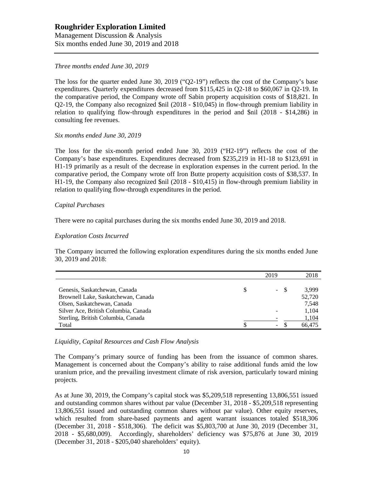# **Roughrider Exploration Limited**

Management Discussion & Analysis Six months ended June 30, 2019 and 2018

### *Three months ended June 30, 2019*

The loss for the quarter ended June 30, 2019 ("Q2-19") reflects the cost of the Company's base expenditures. Quarterly expenditures decreased from \$115,425 in Q2-18 to \$60,067 in Q2-19. In the comparative period, the Company wrote off Sabin property acquisition costs of \$18,821. In Q2-19, the Company also recognized \$nil (2018 - \$10,045) in flow-through premium liability in relation to qualifying flow-through expenditures in the period and \$nil (2018 - \$14,286) in consulting fee revenues.

#### *Six months ended June 30, 2019*

The loss for the six-month period ended June 30, 2019 ("H2-19") reflects the cost of the Company's base expenditures. Expenditures decreased from \$235,219 in H1-18 to \$123,691 in H1-19 primarily as a result of the decrease in exploration expenses in the current period. In the comparative period, the Company wrote off Iron Butte property acquisition costs of \$38,537. In H1-19, the Company also recognized \$nil (2018 - \$10,415) in flow-through premium liability in relation to qualifying flow-through expenditures in the period.

#### *Capital Purchases*

There were no capital purchases during the six months ended June 30, 2019 and 2018.

### *Exploration Costs Incurred*

The Company incurred the following exploration expenditures during the six months ended June 30, 2019 and 2018:

|                                      | 2019                     | 2018   |
|--------------------------------------|--------------------------|--------|
|                                      |                          |        |
| Genesis, Saskatchewan, Canada        | $\sim$                   | 3.999  |
| Brownell Lake, Saskatchewan, Canada  |                          | 52,720 |
| Olsen, Saskatchewan, Canada          |                          | 7,548  |
| Silver Ace, British Columbia, Canada |                          | 1,104  |
| Sterling, British Columbia, Canada   |                          | 1,104  |
| Total                                | $\overline{\phantom{a}}$ | 66.475 |

*Liquidity, Capital Resources and Cash Flow Analysis*

The Company's primary source of funding has been from the issuance of common shares. Management is concerned about the Company's ability to raise additional funds amid the low uranium price, and the prevailing investment climate of risk aversion, particularly toward mining projects.

As at June 30, 2019, the Company's capital stock was \$5,209,518 representing 13,806,551 issued and outstanding common shares without par value (December 31, 2018 - \$5,209,518 representing 13,806,551 issued and outstanding common shares without par value). Other equity reserves, which resulted from share-based payments and agent warrant issuances totaled \$518,306 (December 31, 2018 - \$518,306). The deficit was \$5,803,700 at June 30, 2019 (December 31, 2018 - \$5,680,009). Accordingly, shareholders' deficiency was \$75,876 at June 30, 2019 (December 31, 2018 - \$205,040 shareholders' equity).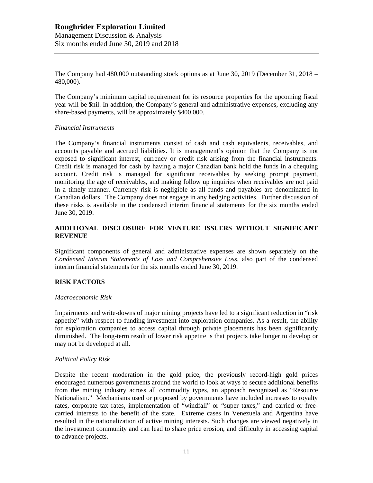The Company had 480,000 outstanding stock options as at June 30, 2019 (December 31, 2018 – 480,000).

The Company's minimum capital requirement for its resource properties for the upcoming fiscal year will be \$nil. In addition, the Company's general and administrative expenses, excluding any share-based payments, will be approximately \$400,000.

### *Financial Instruments*

The Company's financial instruments consist of cash and cash equivalents, receivables, and accounts payable and accrued liabilities. It is management's opinion that the Company is not exposed to significant interest, currency or credit risk arising from the financial instruments. Credit risk is managed for cash by having a major Canadian bank hold the funds in a chequing account. Credit risk is managed for significant receivables by seeking prompt payment, monitoring the age of receivables, and making follow up inquiries when receivables are not paid in a timely manner. Currency risk is negligible as all funds and payables are denominated in Canadian dollars. The Company does not engage in any hedging activities. Further discussion of these risks is available in the condensed interim financial statements for the six months ended June 30, 2019.

### **ADDITIONAL DISCLOSURE FOR VENTURE ISSUERS WITHOUT SIGNIFICANT REVENUE**

Significant components of general and administrative expenses are shown separately on the *Condensed Interim Statements of Loss and Comprehensive Loss,* also part of the condensed interim financial statements for the six months ended June 30, 2019.

### **RISK FACTORS**

#### *Macroeconomic Risk*

Impairments and write-downs of major mining projects have led to a significant reduction in "risk appetite" with respect to funding investment into exploration companies. As a result, the ability for exploration companies to access capital through private placements has been significantly diminished. The long-term result of lower risk appetite is that projects take longer to develop or may not be developed at all.

### *Political Policy Risk*

Despite the recent moderation in the gold price, the previously record-high gold prices encouraged numerous governments around the world to look at ways to secure additional benefits from the mining industry across all commodity types, an approach recognized as "Resource Nationalism." Mechanisms used or proposed by governments have included increases to royalty rates, corporate tax rates, implementation of "windfall" or "super taxes," and carried or freecarried interests to the benefit of the state. Extreme cases in Venezuela and Argentina have resulted in the nationalization of active mining interests. Such changes are viewed negatively in the investment community and can lead to share price erosion, and difficulty in accessing capital to advance projects.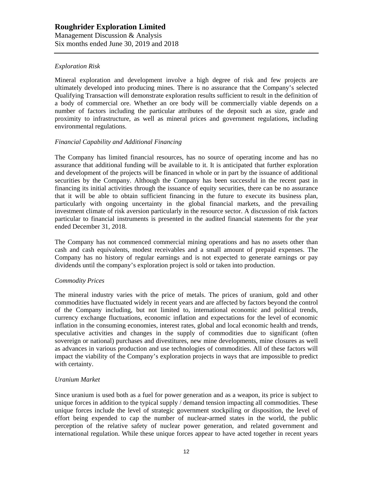# *Exploration Risk*

Mineral exploration and development involve a high degree of risk and few projects are ultimately developed into producing mines. There is no assurance that the Company's selected Qualifying Transaction will demonstrate exploration results sufficient to result in the definition of a body of commercial ore. Whether an ore body will be commercially viable depends on a number of factors including the particular attributes of the deposit such as size, grade and proximity to infrastructure, as well as mineral prices and government regulations, including environmental regulations.

### *Financial Capability and Additional Financing*

The Company has limited financial resources, has no source of operating income and has no assurance that additional funding will be available to it. It is anticipated that further exploration and development of the projects will be financed in whole or in part by the issuance of additional securities by the Company. Although the Company has been successful in the recent past in financing its initial activities through the issuance of equity securities, there can be no assurance that it will be able to obtain sufficient financing in the future to execute its business plan, particularly with ongoing uncertainty in the global financial markets, and the prevailing investment climate of risk aversion particularly in the resource sector. A discussion of risk factors particular to financial instruments is presented in the audited financial statements for the year ended December 31, 2018.

The Company has not commenced commercial mining operations and has no assets other than cash and cash equivalents, modest receivables and a small amount of prepaid expenses. The Company has no history of regular earnings and is not expected to generate earnings or pay dividends until the company's exploration project is sold or taken into production.

### *Commodity Prices*

The mineral industry varies with the price of metals. The prices of uranium, gold and other commodities have fluctuated widely in recent years and are affected by factors beyond the control of the Company including, but not limited to, international economic and political trends, currency exchange fluctuations, economic inflation and expectations for the level of economic inflation in the consuming economies, interest rates, global and local economic health and trends, speculative activities and changes in the supply of commodities due to significant (often sovereign or national) purchases and divestitures, new mine developments, mine closures as well as advances in various production and use technologies of commodities. All of these factors will impact the viability of the Company's exploration projects in ways that are impossible to predict with certainty.

### *Uranium Market*

Since uranium is used both as a fuel for power generation and as a weapon, its price is subject to unique forces in addition to the typical supply / demand tension impacting all commodities. These unique forces include the level of strategic government stockpiling or disposition, the level of effort being expended to cap the number of nuclear-armed states in the world, the public perception of the relative safety of nuclear power generation, and related government and international regulation. While these unique forces appear to have acted together in recent years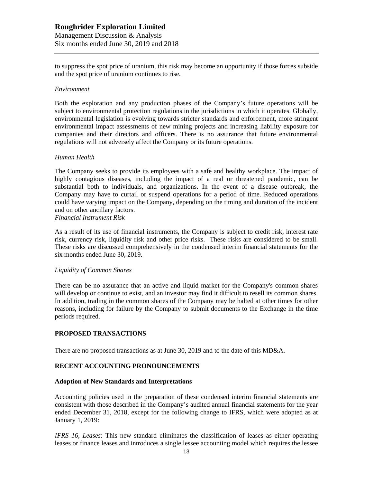to suppress the spot price of uranium, this risk may become an opportunity if those forces subside and the spot price of uranium continues to rise.

#### *Environment*

Both the exploration and any production phases of the Company's future operations will be subject to environmental protection regulations in the jurisdictions in which it operates. Globally, environmental legislation is evolving towards stricter standards and enforcement, more stringent environmental impact assessments of new mining projects and increasing liability exposure for companies and their directors and officers. There is no assurance that future environmental regulations will not adversely affect the Company or its future operations.

#### *Human Health*

The Company seeks to provide its employees with a safe and healthy workplace. The impact of highly contagious diseases, including the impact of a real or threatened pandemic, can be substantial both to individuals, and organizations. In the event of a disease outbreak, the Company may have to curtail or suspend operations for a period of time. Reduced operations could have varying impact on the Company, depending on the timing and duration of the incident and on other ancillary factors.

*Financial Instrument Risk*

As a result of its use of financial instruments, the Company is subject to credit risk, interest rate risk, currency risk, liquidity risk and other price risks. These risks are considered to be small. These risks are discussed comprehensively in the condensed interim financial statements for the six months ended June 30, 2019.

### *Liquidity of Common Shares*

There can be no assurance that an active and liquid market for the Company's common shares will develop or continue to exist, and an investor may find it difficult to resell its common shares. In addition, trading in the common shares of the Company may be halted at other times for other reasons, including for failure by the Company to submit documents to the Exchange in the time periods required.

### **PROPOSED TRANSACTIONS**

There are no proposed transactions as at June 30, 2019 and to the date of this MD&A.

### **RECENT ACCOUNTING PRONOUNCEMENTS**

#### **Adoption of New Standards and Interpretations**

Accounting policies used in the preparation of these condensed interim financial statements are consistent with those described in the Company's audited annual financial statements for the year ended December 31, 2018, except for the following change to IFRS, which were adopted as at January 1, 2019:

*IFRS 16, Leases*: This new standard eliminates the classification of leases as either operating leases or finance leases and introduces a single lessee accounting model which requires the lessee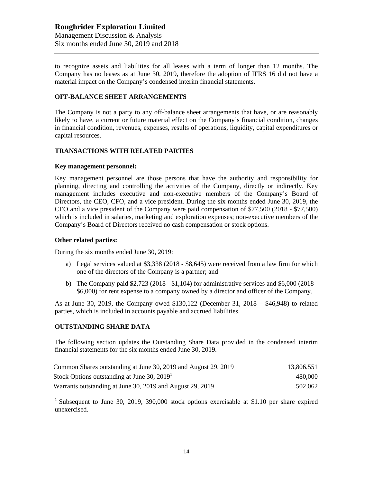to recognize assets and liabilities for all leases with a term of longer than 12 months. The Company has no leases as at June 30, 2019, therefore the adoption of IFRS 16 did not have a material impact on the Company's condensed interim financial statements.

# **OFF-BALANCE SHEET ARRANGEMENTS**

The Company is not a party to any off-balance sheet arrangements that have, or are reasonably likely to have, a current or future material effect on the Company's financial condition, changes in financial condition, revenues, expenses, results of operations, liquidity, capital expenditures or capital resources.

# **TRANSACTIONS WITH RELATED PARTIES**

### **Key management personnel:**

Key management personnel are those persons that have the authority and responsibility for planning, directing and controlling the activities of the Company, directly or indirectly. Key management includes executive and non-executive members of the Company's Board of Directors, the CEO, CFO, and a vice president. During the six months ended June 30, 2019, the CEO and a vice president of the Company were paid compensation of \$77,500 (2018 - \$77,500) which is included in salaries, marketing and exploration expenses; non-executive members of the Company's Board of Directors received no cash compensation or stock options.

#### **Other related parties:**

During the six months ended June 30, 2019:

- a) Legal services valued at \$3,338 (2018 \$8,645) were received from a law firm for which one of the directors of the Company is a partner; and
- b) The Company paid \$2,723 (2018 \$1,104) for administrative services and \$6,000 (2018 \$6,000) for rent expense to a company owned by a director and officer of the Company.

As at June 30, 2019, the Company owed \$130,122 (December 31, 2018 – \$46,948) to related parties, which is included in accounts payable and accrued liabilities.

### **OUTSTANDING SHARE DATA**

The following section updates the Outstanding Share Data provided in the condensed interim financial statements for the six months ended June 30, 2019.

| Common Shares outstanding at June 30, 2019 and August 29, 2019 | 13,806,551 |
|----------------------------------------------------------------|------------|
| Stock Options outstanding at June 30, 2019                     | 480,000    |
| Warrants outstanding at June 30, 2019 and August 29, 2019      | 502,062    |

<sup>1</sup> Subsequent to June 30, 2019, 390,000 stock options exercisable at \$1.10 per share expired unexercised.